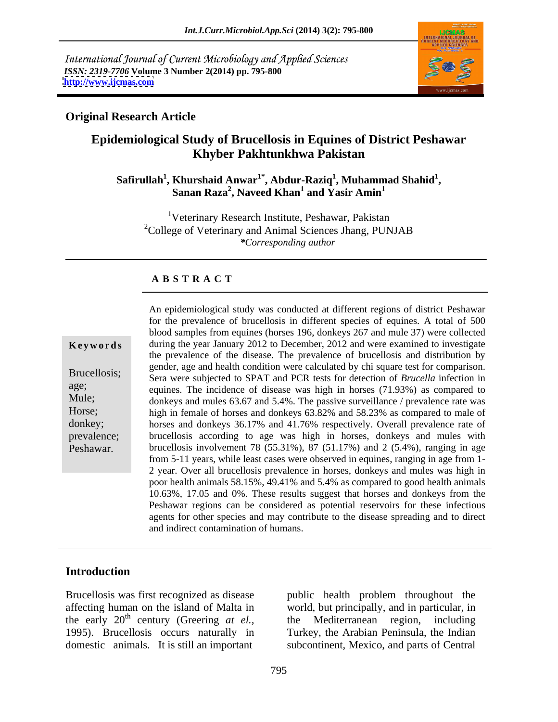International Journal of Current Microbiology and Applied Sciences *ISSN: 2319-7706* **Volume 3 Number 2(2014) pp. 795-800 <http://www.ijcmas.com>**



### **Original Research Article**

# **Epidemiological Study of Brucellosis in Equines of District Peshawar Khyber Pakhtunkhwa Pakistan**

#### $\mathbf{S}$ afirullah $^1$ , Khurshaid Anwar $^{1^*}$ , Abdur-Raziq $^1$ , Muhammad Shahid $^1$ , **, Muhammad Shahid<sup>1</sup>** Khurshaid Anwar<sup>1</sup>°, Abdur-Raziq<sup>1</sup>, Muhammad Shahid<sup>1</sup>,<br>Sanan Raza<sup>2</sup>, Naveed Khan<sup>1</sup> and Yasir Amin<sup>1</sup>  **and Yasir Amin<sup>1</sup>**

<sup>1</sup>Veterinary Research Institute, Peshawar, Pakistan  $2^2$ College of Veterinary and Animal Sciences Jhang, PUNJAB *\*Corresponding author* 

#### **A B S T R A C T**

**Keywords** during the year January 2012 to December, 2012 and were examined to investigate Brucellosis; Sera were subjected to SPAT and PCR tests for detection of *Brucella* infection in age;<br>
equines. The incidence of disease was high in horses (71.93%) as compared to Mule;<br>donkeys and mules 63.67 and 5.4%. The passive surveillance / prevalence rate was Horse; high in female of horses and donkeys 63.82% and 58.23% as compared to male of donkey; horses and donkeys 36.17% and 41.76% respectively. Overall prevalence rate of prevalence; brucellosis according to age was high in horses, donkeys and mules with Peshawar. brucellosis involvement 78 (55.31%), 87 (51.17%) and 2 (5.4%), ranging in age An epidemiological study was conducted at different regions of district Peshawar for the prevalence of brucellosis in different species of equines. A total of 500 blood samples from equines (horses 196, donkeys 267 and mule 37) were collected the prevalence of the disease. The prevalence of brucellosis and distribution by gender, age and health condition were calculated by chi square test for comparison. from 5-11 years, while least cases were observed in equines, ranging in age from 1- 2 year. Over all brucellosis prevalence in horses, donkeys and mules was high in poor health animals 58.15%, 49.41% and 5.4% as compared to good health animals 10.63%, 17.05 and 0%. These results suggest that horses and donkeys from the Peshawar regions can be considered as potential reservoirs for these infectious agents for other species and may contribute to the disease spreading and to direct and indirect contamination of humans.

## **Introduction**

domestic animals. It is still an important

Brucellosis was first recognized as disease public health problem throughout the affecting human on the island of Malta in world, but principally, and in particular, in the early 20<sup>th</sup> century (Greering *at el.*, the Mediterranean region, including 1995). Brucellosis occurs naturally in Turkey, the Arabian Peninsula, the Indian the Mediterranean region, including subcontinent, Mexico, and parts of Central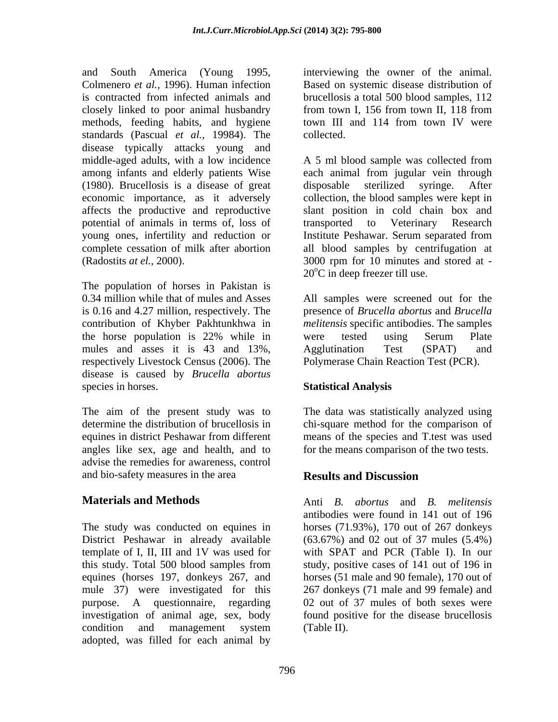and South America (Young 1995, interviewing the owner of the animal. Colmenero *et al.,* 1996). Human infection Based on systemic disease distribution of is contracted from infected animals and brucellosis a total 500 blood samples, 112 closely linked to poor animal husbandry from town I, 156 from town II, 118 from methods, feeding habits, and hygiene town III and 114 from town IV were standards (Pascual *et al.,* 19984). The disease typically attacks young and (1980). Brucellosis is a disease of great potential of animals in terms of, loss of

The population of horses in Pakistan is mules and asses it is 43 and 13%, Agglutination Test (SPAT) and respectively Livestock Census (2006). The disease is caused by *Brucella abortus* species in horses. Statistical Analysis

angles like sex, age and health, and to advise the remedies for awareness, control and bio-safety measures in the area **Results and Discussion** 

this study. Total 500 blood samples from mule 37) were investigated for this investigation of animal age, sex, body condition and management system (Table II). adopted, was filled for each animal by

from town I, 156 from town II, 118 from town III and 114 from town IV were collected.

middle-aged adults, with a low incidence A 5 ml blood sample was collected from among infants and elderly patients Wise each animal from jugular vein through economic importance, as it adversely collection, the blood samples were kept in affects the productive and reproductive slant position in cold chain box and young ones, infertility and reduction or Institute Peshawar. Serum separated from complete cessation of milk after abortion all blood samples by centrifugation at (Radostits *at el.,* 2000). 3000 rpm for 10 minutes and stored at disposable sterilized syringe. After transported to Veterinary  $20^{\circ}$ C in deep freezer till use.

0.34 million while that of mules and Asses All samples were screened out for the is 0.16 and 4.27 million, respectively. The presence of *Brucella abortus* and *Brucella*  contribution of Khyber Pakhtunkhwa in *melitensis* specific antibodies. The samples the horse population is 22% while in were tested using Serum Plate Agglutination Test (SPAT) and Polymerase Chain Reaction Test (PCR).

### **Statistical Analysis**

The aim of the present study was to The data was statistically analyzed using determine the distribution of brucellosis in chi-square method for the comparison of equines in district Peshawar from different means of the species and T.testwas used for the means comparison of the two tests.

## **Results and Discussion**

**Materials and Methods** Anti *B. abortus* and *B. melitensis* The study was conducted on equines in horses (71.93%), 170 out of 267 donkeys District Peshawar in already available (63.67%) and 02 out of 37 mules (5.4%) template of I, II, III and 1V was used for with SPAT and PCR (Table I). In our equines (horses 197, donkeys 267, and horses (51 male and 90 female), 170 out of purpose. A questionnaire, regarding 02 out of 37 mules of both sexes were antibodies were found in 141 out of 196 study, positive cases of 141 out of 196 in 267 donkeys (71 male and 99 female) and found positive for the disease brucellosis (Table II).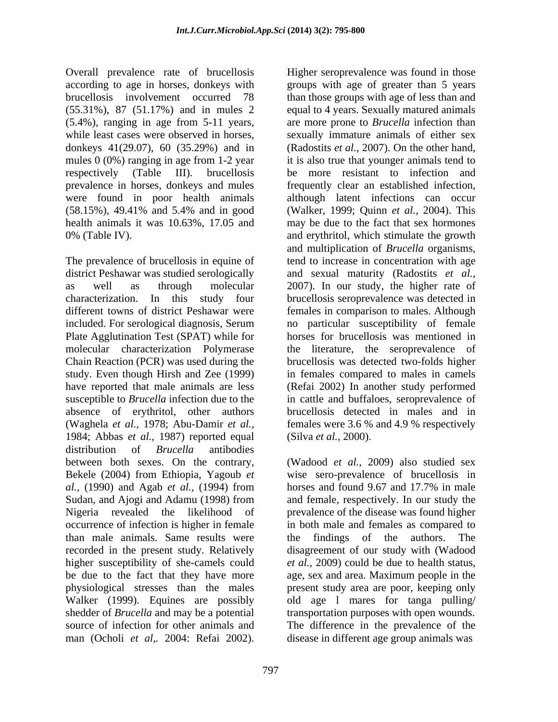Overall prevalence rate of brucellosis (5.4%), ranging in age from 5-11 years, prevalence in horses, donkeys and mules

The prevalence of brucellosis in equine of tend to increase in concentration with age district Peshawar was studied serologically and sexual maturity (Radostits *et al.,* as well as through molecular 2007). In our study, the higher rate of characterization. In this study four brucellosis seroprevalence was detected in different towns of district Peshawar were females in comparison to males. Although included. For serological diagnosis, Serum no particular susceptibility of female Plate Agglutination Test (SPAT) while for horses for brucellosis was mentioned in molecular characterization Polymerase the literature, the seroprevalence of Chain Reaction (PCR) was used during the brucellosis was detected two-folds higher study. Even though Hirsh and Zee (1999) have reported that male animals are less (Refai 2002) In another study performed susceptible to *Brucella* infection due to the in cattle and buffaloes, seroprevalence of absence of erythritol, other authors (Waghela *et al.,* 1978; Abu-Damir *et al.,* females were 3.6 % and 4.9 % respectively 1984; Abbas *et al.,* 1987) reported equal distribution of *Brucella* antibodies between both sexes. On the contrary, (Wadood *et al.,* 2009) also studied sex Bekele (2004) from Ethiopia, Yagoub *et*  wise sero-prevalence of brucellosis in *al.,* (1990) and Agab *et al.,* (1994) from Sudan, and Ajogi and Adamu (1998) from and female, respectively. In our study the Nigeria revealed the likelihood of occurrence of infection is higher in female in both male and females as compared to than male animals. Same results were recorded in the present study. Relatively disagreement of our study with (Wadood higher susceptibility of she-camels could be due to the fact that they have more age, sex and area. Maximum people in the physiological stresses than the males present study area are poor, keeping only Walker (1999). Equines are possibly old age l mares for tanga pulling/ shedder of *Brucella* and may be a potential transportation purposes with open wounds. source of infection for other animals and The difference in the prevalence of the Oceal prevalence rate of brackles in equilibratic prevalence was found in these present in the seropre seropre seropre was found in the seropre seropre seropre seropre seropre seropre seropre seropre seropre seropre seropr

according to age in horses, donkeys with groups with age of greater than 5 years brucellosis involvement occurred 78 than those groups with age of less than and (55.31%), 87 (51.17%) and in mules 2 equal to 4 years. Sexually matured animals while least cases were observed in horses, sexually immature animals of either sex donkeys 41(29.07), 60 (35.29%) and in (Radostits *et al.,* 2007). On the other hand, mules 0 (0%) ranging in age from 1-2 year it is also true that younger animals tend to respectively (Table III). brucellosis be more resistant to infection and were found in poor health animals although latent infections can occur (58.15%), 49.41% and 5.4% and in good (Walker, 1999; Quinn *et al.,* 2004). This health animals it was 10.63%, 17.05 and may be due to the fact that sex hormones 0% (Table IV). and erythritol, which stimulate the growth are more prone to *Brucella* infection than frequently clear an established infection, and multiplication of *Brucella* organisms, in females compared to males in camels brucellosis detected in males and in (Silva *et al.,* 2000).

> horses and found 9.67 and 17.7% in male and female, respectively. In our study the prevalence of the disease was found higher the findings of the authors. *et al.,* 2009) could be due to health status, disease in different age group animals was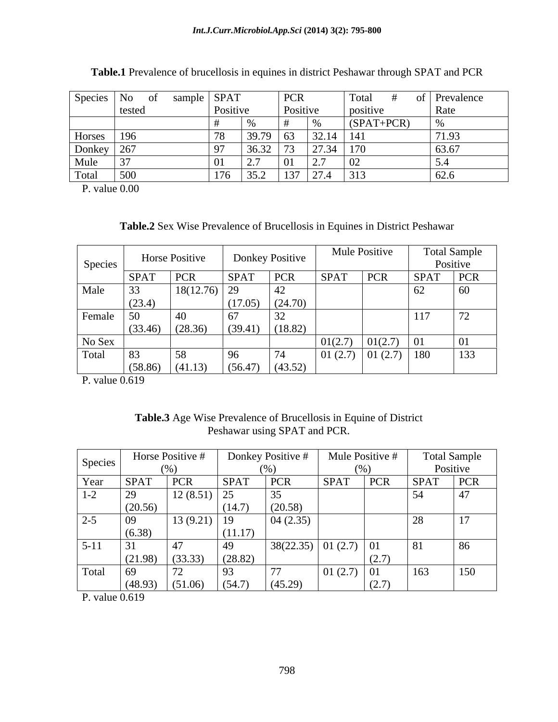| Species No            |        | sample SPAT |          | PCR        |                | Total    | of Prevalence |
|-----------------------|--------|-------------|----------|------------|----------------|----------|---------------|
|                       | tested |             | Positive |            | Positive       | positive | Rate          |
|                       |        |             |          |            |                | (SPATHC  |               |
| Horses   196          |        |             |          | $39.79$ 63 | $32.14$   141  |          | 171.93        |
|                       |        |             |          | $3632$ 73  | $\sqrt{27}$ 24 | 17C      | 63.67         |
| Donkey 267<br>Mule 37 |        |             |          |            |                |          |               |
| Total                 | 500    |             |          |            | $127 \mid 274$ |          |               |

**Table.1** Prevalence of brucellosis in equines in district Peshawar through SPAT and PCR

P. value 0.00

**Table.2** Sex Wise Prevalence of Brucellosis in Equines in District Peshawar

|           |            | <b>Horse Positive</b> |             | <b>Donkey Positive</b> | Mule Positive |                          |             | <b>Total Sample</b> |
|-----------|------------|-----------------------|-------------|------------------------|---------------|--------------------------|-------------|---------------------|
| Species   |            |                       |             |                        |               |                          |             | Positive            |
|           | $ $ SPAT   | PCR                   | <b>SPAT</b> | $ $ PCR                | <b>SPAT</b>   | PCR                      | <b>SPAT</b> | PCR                 |
| Male      | $\vert$ 33 | $18(12.76)$ 29        |             |                        |               |                          | $O\angle$   | 60                  |
|           | (23.4)     |                       |             | (24.70)                |               |                          |             |                     |
| Female 50 |            | 40                    | $\sqrt{2}$  | $\sim$<br>2∠           |               |                          | 117         | 12                  |
|           | (33.46)    | (28.36)               | (39.41)     | (18.82)                |               |                          |             |                     |
| No Sex    |            |                       |             |                        |               | 01/27<br>$U1(\angle .1)$ |             |                     |
| Total     | 83         | 58                    |             | 74                     |               |                          |             | 133                 |
|           | (58.86)    | (41.13)               | (56.47)     | (43.52)                |               |                          |             |                     |

P. value 0.619

| <b>EXECUTE:</b> Wise Prevalence of Brucellosis in Equine of D<br><b>Table.3</b><br><b>District</b><br>Age |  |
|-----------------------------------------------------------------------------------------------------------|--|
| DCF<br>$\overline{\phantom{a}}$<br><b>SPA</b><br>eshawar using '<br>and<br>UN.                            |  |

|                                           |             | Horse Positive # |                                   | Donkey Positive #       | Mule Positive # |       |                      | <b>Total Sample</b> |
|-------------------------------------------|-------------|------------------|-----------------------------------|-------------------------|-----------------|-------|----------------------|---------------------|
| Species                                   |             | $($ %)           |                                   | (% )                    |                 |       | Positive             |                     |
| Year<br>and the control of the control of | <b>SPAT</b> | $ $ PCR          | <b>SPAT</b>                       | PCR                     | <b>SPAT</b>     | PCR   | <b>SPAT</b>          | <b>PCR</b>          |
| $\sim$<br>$1 - 2$                         | 29          | 12(8.51)         | $\Delta$ $\epsilon$<br>$\sqrt{2}$ | 35 <sub>1</sub>         |                 |       | 54                   |                     |
|                                           | (20.56)     |                  | (14.7)                            | (20.58)                 |                 |       |                      |                     |
| $2 - 5$                                   | 09          | $13(9.21)$ 19    |                                   | 04(2.35)                |                 |       | $\sim$<br>$\angle$ 0 | $\blacksquare$      |
|                                           | (6.38)      |                  | (11.1)                            |                         |                 |       |                      |                     |
| $5 - 11$                                  |             |                  | $-49$                             | $38(22.35)$ 01 (2.7) 01 |                 |       | 81                   | $\cup$              |
|                                           | (21.98)     | (33.33)          | (28.82)                           |                         |                 | \ 4.1 |                      |                     |
| Total                                     | $\mid$ 69   | $\sqrt{2}$       |                                   | $\frac{1}{2}$           | $01(2.7)$ 01    |       | 163                  | 150                 |
|                                           | (48.93)     | (51.06)          | (54.7)                            | (45.29)                 |                 | (2.1) |                      |                     |

P. value 0.619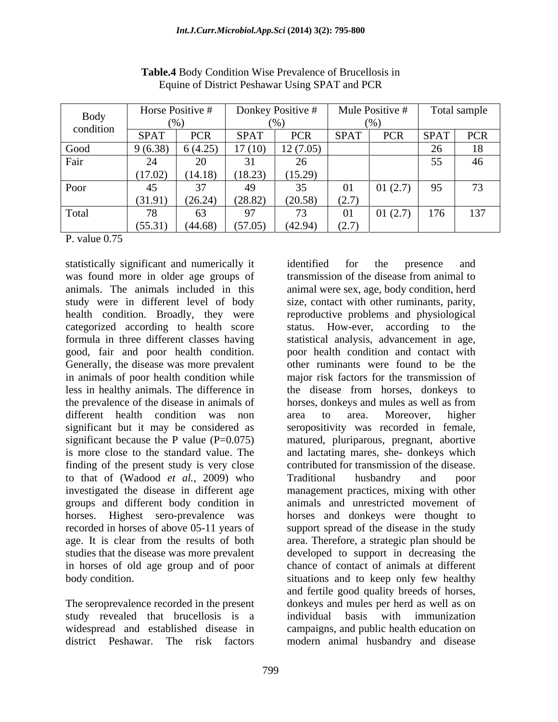| Body      |             | Horse Positive # | Donkey Positive #   |          | Mule Positive # |                   |             | Total sample     |
|-----------|-------------|------------------|---------------------|----------|-----------------|-------------------|-------------|------------------|
| condition | (96)        |                  |                     |          |                 |                   |             |                  |
|           | <b>SPAT</b> | <b>PCR</b>       | <b>SPAT</b>         | PCR      | <b>SPAT</b>     | DCD<br><b>LCK</b> | <b>SPAT</b> | <b>PCR</b>       |
| Good      | 9(6.38)     | 6(4.25)          | $\overline{17(10)}$ | 12(7.05) |                 |                   |             | 18               |
| Fair      |             | 20               |                     |          |                 |                   | 55          |                  |
|           | 17.02       | (14.18)          | (18.23)             | (15.29)  |                 |                   |             |                  |
| Poor      |             |                  |                     |          | 01              | 01(2.7)           | 95          | $\sqrt{2}$<br>79 |
|           | (31.91)     | (26.24)          | (28.82)             | (20.58)  | (2.7)           |                   |             |                  |
| Total     |             | 63               |                     |          | 01              | 01(2.7)           | 176         | 137              |
|           | (55.31)     | (44.68)          | (57.05)             | (42.94)  | (2.7)           |                   |             |                  |

**Table.4** Body Condition Wise Prevalence of Brucellosis in Equine of District Peshawar Using SPAT and PCR

P. value 0.75

statistically significant and numerically it was found more in older age groups of transmission of the disease from animal to good, fair and poor health condition. Generally, the disease was more prevalent<br>in animals of poor health condition while the prevalence of the disease in animals of horses, donkeys and mules as well as from different health condition was non area to area. Moreover, higher finding of the present study is very close to that of (Wadood *et al.,* 2009) who groups and different body condition in

The seroprevalence recorded in the present study revealed that brucellosis is a individual basis with immunization district Peshawar. The risk factors modern animal husbandry and disease

animals. The animals included in this animal were sex, age, body condition, herd study were in different level of body size, contact with other ruminants, parity, health condition. Broadly, they were reproductive problems and physiological categorized according to health score status. How-ever, according to the formula in three different classes having statistical analysis, advancement in age, in animals of poor health condition while major risk factors for the transmission of less in healthy animals. The difference in the disease from horses, donkeys to significant but it may be considered as seropositivity was recorded in female, significant because the P value (P=0.075) matured, pluriparous, pregnant, abortive is more close to the standard value. The and lactating mares, she- donkeys which investigated the disease in different age management practices, mixing with other horses. Highest sero-prevalence was horses and donkeys were thought to recorded in horses of above 05-11 years of support spread of the disease in the study age. It is clear from the results of both area. Therefore, a strategic plan should be studies that the disease was more prevalent developed to support in decreasing the in horses of old age group and of poor chance of contact of animalsat different body condition. situations and to keep only few healthy widespread and established disease in campaigns, and public health education on identified for the presence and transmission of the disease from animal to poor health condition and contact with other ruminants were found to be the horses, donkeys and mules as well as from area to area. Moreover, higher contributed for transmission of the disease. Traditional husbandry and poor animals and unrestricted movement of and fertile good quality breeds of horses, donkeys and mules per herd as well as on individual basis with immunization